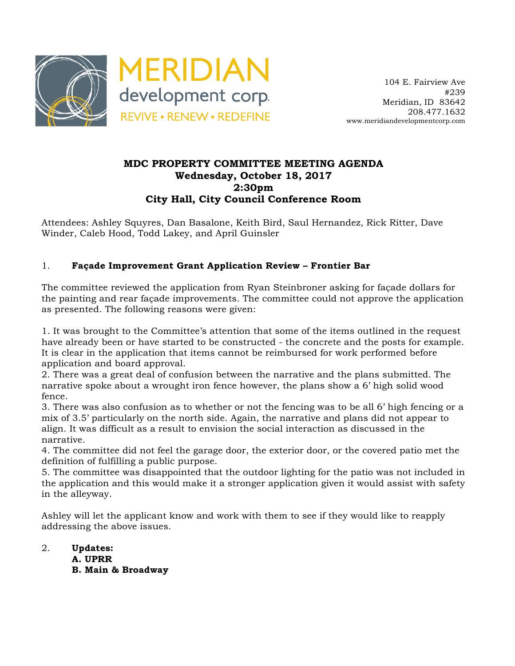

## **MDC PROPERTY COMMITTEE MEETING AGENDA Wednesday, October 18, 2017 2:30pm City Hall, City Council Conference Room**

Attendees: Ashley Squyres, Dan Basalone, Keith Bird, Saul Hernandez, Rick Ritter, Dave Winder, Caleb Hood, Todd Lakey, and April Guinsler

## 1. **Façade Improvement Grant Application Review – Frontier Bar**

The committee reviewed the application from Ryan Steinbroner asking for façade dollars for the painting and rear façade improvements. The committee could not approve the application as presented. The following reasons were given:

1. It was brought to the Committee's attention that some of the items outlined in the request have already been or have started to be constructed - the concrete and the posts for example. It is clear in the application that items cannot be reimbursed for work performed before application and board approval.

2. There was a great deal of confusion between the narrative and the plans submitted. The narrative spoke about a wrought iron fence however, the plans show a 6' high solid wood fence.

3. There was also confusion as to whether or not the fencing was to be all 6' high fencing or a mix of 3.5' particularly on the north side. Again, the narrative and plans did not appear to align. It was difficult as a result to envision the social interaction as discussed in the narrative.

4. The committee did not feel the garage door, the exterior door, or the covered patio met the definition of fulfilling a public purpose.

5. The committee was disappointed that the outdoor lighting for the patio was not included in the application and this would make it a stronger application given it would assist with safety in the alleyway.

Ashley will let the applicant know and work with them to see if they would like to reapply addressing the above issues.

2. **Updates: A. UPRR B. Main & Broadway**